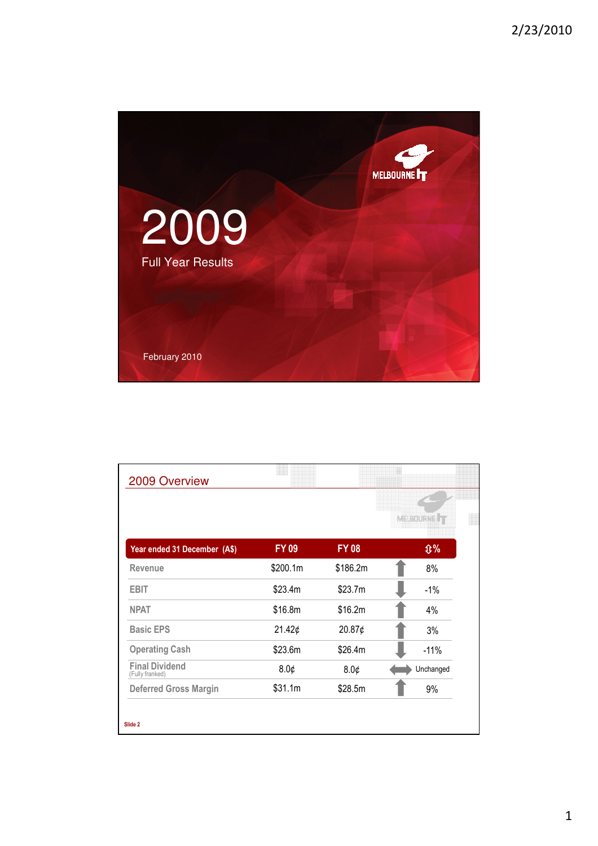

| 2009 Overview                            |              |              |                          |
|------------------------------------------|--------------|--------------|--------------------------|
|                                          |              |              | MELBOURNE <sup>1</sup> T |
| Year ended 31 December (A\$)             | <b>FY 09</b> | <b>FY 08</b> | <b>Û%</b>                |
| Revenue                                  | \$200.1m     | \$186.2m     | 8%                       |
| <b>EBIT</b>                              | \$23.4m      | \$23.7m      | $-1%$                    |
| <b>NPAT</b>                              | \$16.8m      | \$16.2m      | 4%                       |
| <b>Basic EPS</b>                         | 21.42¢       | 20.87¢       | 3%                       |
| <b>Operating Cash</b>                    | \$23.6m      | \$26.4m      | $-11%$                   |
| <b>Final Dividend</b><br>(Fully franked) | 8.0¢         | 8.0¢         | Unchanged                |
| <b>Deferred Gross Margin</b>             | \$31.1m      | \$28.5m      | 9%                       |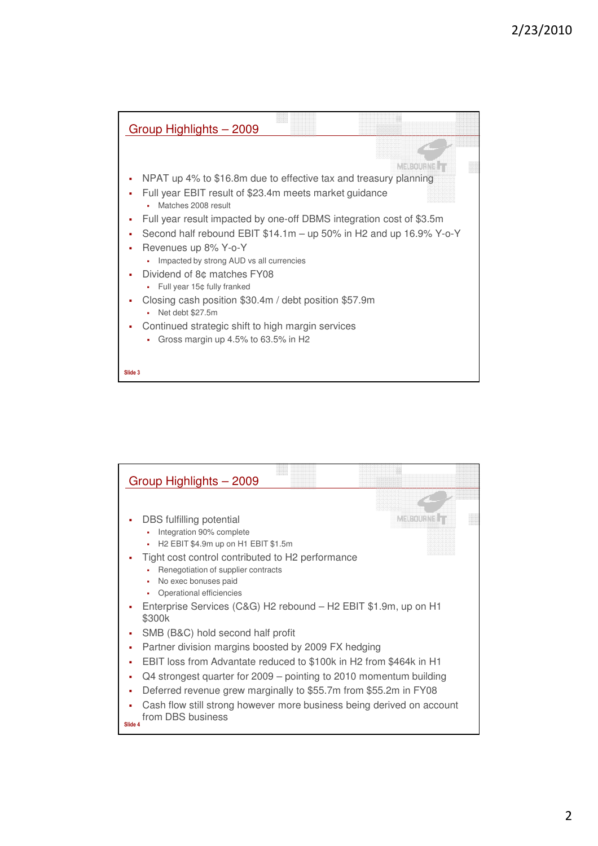

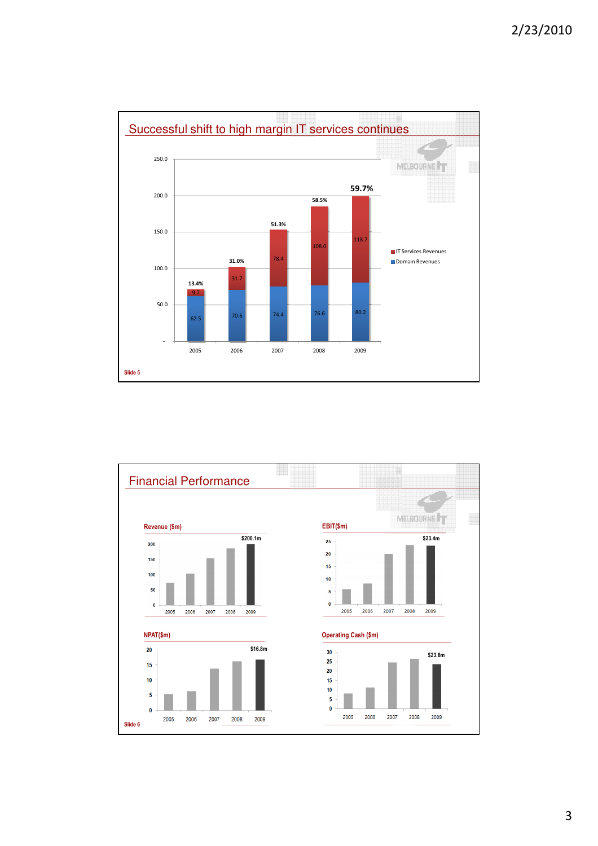



3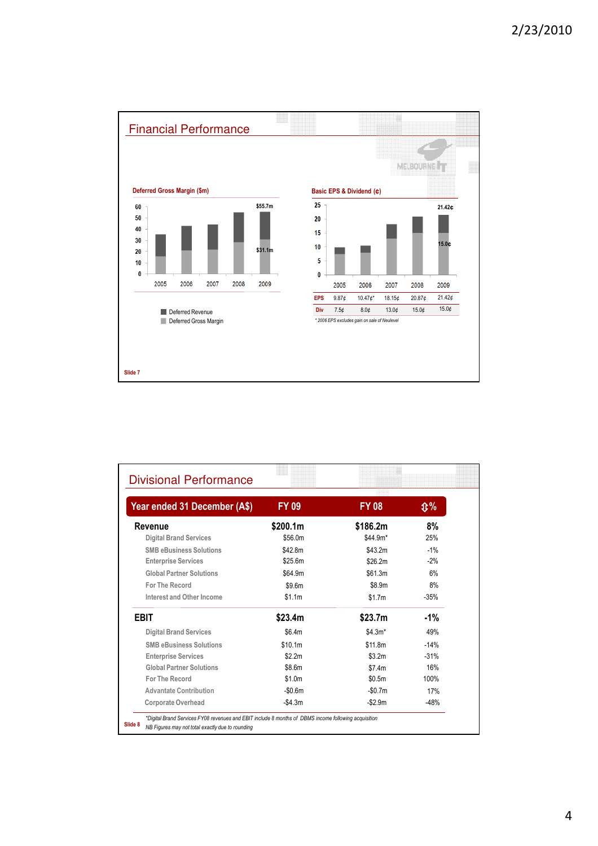

| Year ended 31 December (A\$)    | <b>FY 09</b> | <b>FY 08</b> | <b>①%</b> |
|---------------------------------|--------------|--------------|-----------|
| Revenue                         | \$200.1m     | \$186.2m     | 8%        |
| <b>Digital Brand Services</b>   | \$56.0m      | $$44.9m*$    | 25%       |
| <b>SMB eBusiness Solutions</b>  | \$42.8m      | \$43.2m      | $-1%$     |
| <b>Enterprise Services</b>      | \$25.6m      | \$26.2m      | $-2%$     |
| <b>Global Partner Solutions</b> | \$64.9m      | \$61.3m      | 6%        |
| <b>For The Record</b>           | \$9.6m       | \$8.9m       | 8%        |
| Interest and Other Income       | \$1.1m       | \$1.7m       | $-35%$    |
| <b>EBIT</b>                     | \$23.4m      | \$23.7m      | $-1\%$    |
| <b>Digital Brand Services</b>   | \$6.4m       | $$4.3m*$     | 49%       |
| <b>SMB eBusiness Solutions</b>  | \$10.1m      | \$11.8m      | $-14%$    |
| <b>Enterprise Services</b>      | \$2.2m       | \$3.2m       | $-31%$    |
| <b>Global Partner Solutions</b> | \$8.6m       | \$7.4m       | 16%       |
| <b>For The Record</b>           | \$1.0m       | \$0.5m       | 100%      |
| <b>Advantate Contribution</b>   | $-$0.6m$     | $-$0.7m$     | 17%       |
| <b>Corporate Overhead</b>       | $-$4.3m$     | $- $2.9m$    | $-48%$    |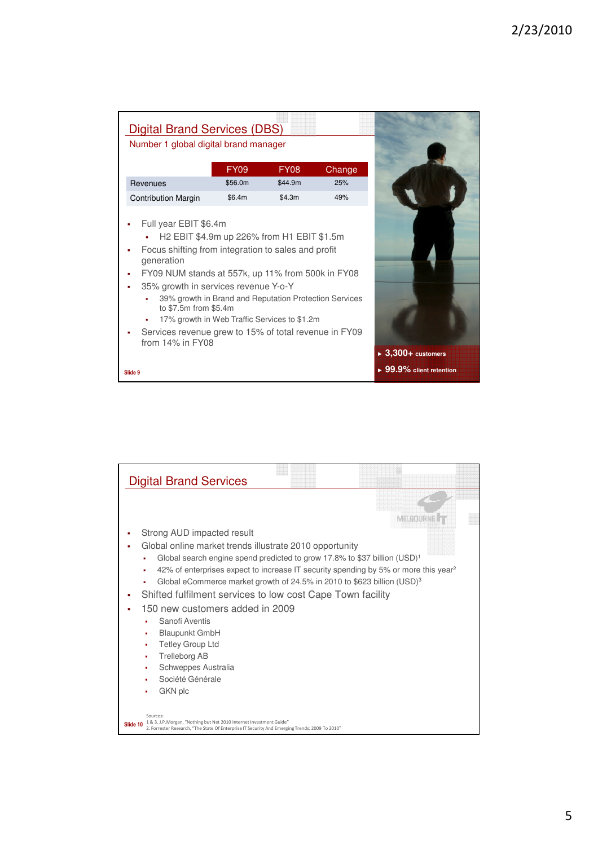| <b>Digital Brand Services (DBS)</b>                                                                                                                                                                                                                                       |                                                                                                                                                      |             |        |                                         |
|---------------------------------------------------------------------------------------------------------------------------------------------------------------------------------------------------------------------------------------------------------------------------|------------------------------------------------------------------------------------------------------------------------------------------------------|-------------|--------|-----------------------------------------|
| Number 1 global digital brand manager                                                                                                                                                                                                                                     |                                                                                                                                                      |             |        |                                         |
|                                                                                                                                                                                                                                                                           | <b>FY09</b>                                                                                                                                          | <b>FY08</b> | Change |                                         |
| Revenues                                                                                                                                                                                                                                                                  | \$56.0m                                                                                                                                              | \$44.9m     | 25%    |                                         |
| <b>Contribution Margin</b>                                                                                                                                                                                                                                                | \$6.4m                                                                                                                                               | \$4.3m      | 49%    |                                         |
| Focus shifting from integration to sales and profit<br>generation<br>FY09 NUM stands at 557k, up 11% from 500k in FY08<br>35% growth in services revenue Y-o-Y<br>to \$7.5m from \$5.4m<br>Services revenue grew to 15% of total revenue in FY09<br>from $14\%$ in $FY08$ | H2 EBIT \$4.9m up 226% from H1 EBIT \$1.5m<br>39% growth in Brand and Reputation Protection Services<br>17% growth in Web Traffic Services to \$1.2m |             |        | $\blacktriangleright$ 3,300+ customers  |
| Slide 9                                                                                                                                                                                                                                                                   |                                                                                                                                                      |             |        | $\triangleright$ 99.9% client retention |

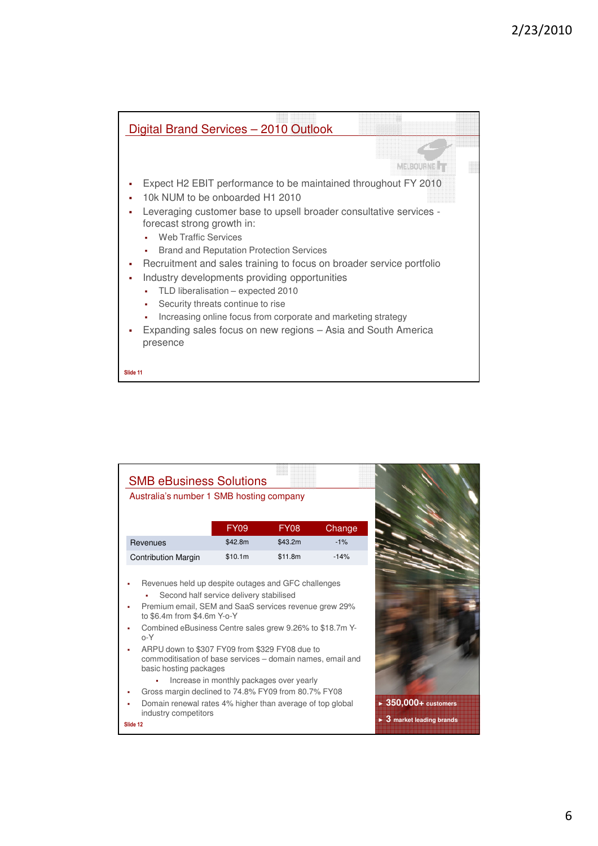

| Australia's number 1 SMB hosting company                                                                                                                                                                                                                                    | <b>SMB eBusiness Solutions</b>                                    |             |        |
|-----------------------------------------------------------------------------------------------------------------------------------------------------------------------------------------------------------------------------------------------------------------------------|-------------------------------------------------------------------|-------------|--------|
|                                                                                                                                                                                                                                                                             | <b>FY09</b>                                                       | <b>FY08</b> | Change |
| Revenues                                                                                                                                                                                                                                                                    | \$42.8m                                                           | \$43.2m     | $-1\%$ |
| <b>Contribution Margin</b>                                                                                                                                                                                                                                                  | \$10.1m                                                           | \$11.8m     | $-14%$ |
| Premium email, SEM and SaaS services revenue grew 29%<br>to \$6.4m from \$4.6m Y-o-Y<br>Combined eBusiness Centre sales grew 9.26% to \$18.7m Y-<br>$O - Y$<br>ARPU down to \$307 FY09 from \$329 FY08 due to<br>commoditisation of base services – domain names, email and | Second half service delivery stabilised<br>basic hosting packages |             |        |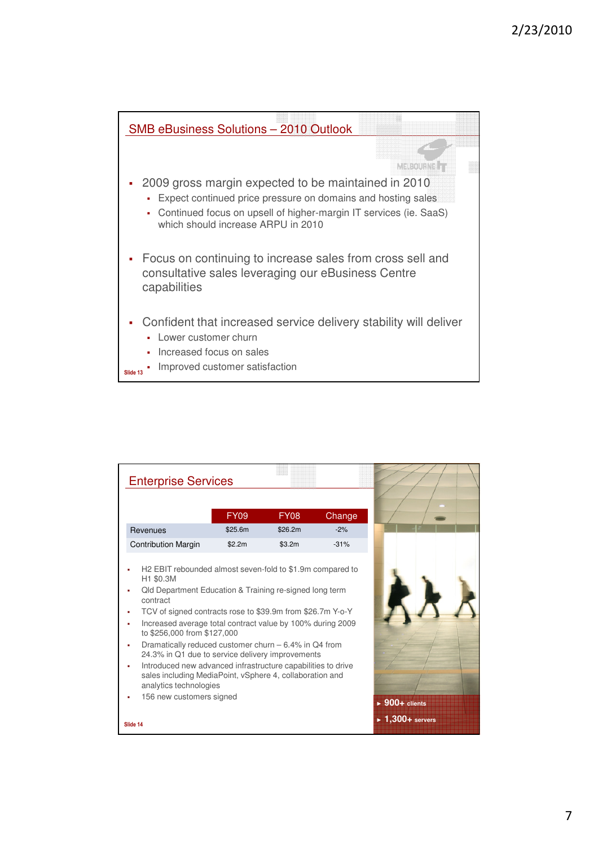

| <b>Enterprise Services</b>                                                                                                                                                                                                                                                                                                                                                                                                                                                                                                                                                        |             |         |        |                                      |  |
|-----------------------------------------------------------------------------------------------------------------------------------------------------------------------------------------------------------------------------------------------------------------------------------------------------------------------------------------------------------------------------------------------------------------------------------------------------------------------------------------------------------------------------------------------------------------------------------|-------------|---------|--------|--------------------------------------|--|
|                                                                                                                                                                                                                                                                                                                                                                                                                                                                                                                                                                                   |             |         |        |                                      |  |
|                                                                                                                                                                                                                                                                                                                                                                                                                                                                                                                                                                                   | <b>FY09</b> | FY08    | Change |                                      |  |
| Revenues                                                                                                                                                                                                                                                                                                                                                                                                                                                                                                                                                                          | \$25.6m     | \$26.2m | $-2%$  |                                      |  |
| <b>Contribution Margin</b>                                                                                                                                                                                                                                                                                                                                                                                                                                                                                                                                                        | \$2.2m      | \$3.2m  | $-31%$ |                                      |  |
| H <sub>2</sub> EBIT rebounded almost seven-fold to \$1.9m compared to<br>H1 \$0.3M<br>Qld Department Education & Training re-signed long term<br>contract<br>TCV of signed contracts rose to \$39.9m from \$26.7m Y-o-Y<br>٠<br>Increased average total contract value by 100% during 2009<br>٠<br>to \$256,000 from \$127,000<br>Dramatically reduced customer churn – 6.4% in Q4 from<br>٠<br>24.3% in Q1 due to service delivery improvements<br>Introduced new advanced infrastructure capabilities to drive<br>٠<br>sales including MediaPoint, vSphere 4, collaboration and |             |         |        |                                      |  |
| analytics technologies<br>156 new customers signed                                                                                                                                                                                                                                                                                                                                                                                                                                                                                                                                |             |         |        | $\triangleright$ 900+ clients        |  |
| Slide 14                                                                                                                                                                                                                                                                                                                                                                                                                                                                                                                                                                          |             |         |        | $\blacktriangleright$ 1,300+ servers |  |

7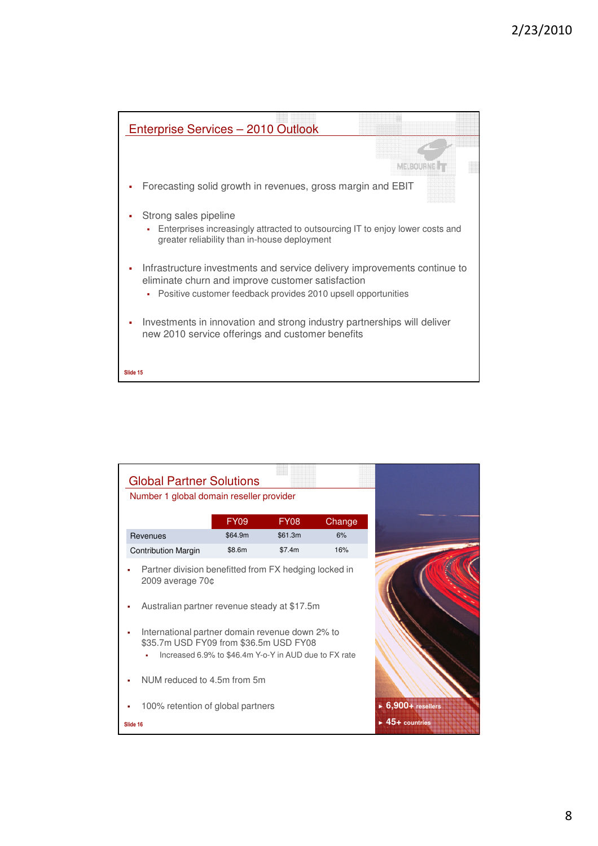

| <b>Global Partner Solutions</b>                                                                                                                    |                                                                                                                               |             |        |  |  |  |
|----------------------------------------------------------------------------------------------------------------------------------------------------|-------------------------------------------------------------------------------------------------------------------------------|-------------|--------|--|--|--|
| Number 1 global domain reseller provider                                                                                                           |                                                                                                                               |             |        |  |  |  |
|                                                                                                                                                    | <b>FY09</b>                                                                                                                   | <b>FY08</b> | Change |  |  |  |
| Revenues                                                                                                                                           | \$64.9m                                                                                                                       | \$61.3m     | 6%     |  |  |  |
| <b>Contribution Margin</b>                                                                                                                         | \$8.6m                                                                                                                        | \$7.4m      | 16%    |  |  |  |
|                                                                                                                                                    | Partner division benefitted from FX hedging locked in<br>$2009$ average $70¢$<br>Australian partner revenue steady at \$17.5m |             |        |  |  |  |
| International partner domain revenue down 2% to<br>\$35.7m USD FY09 from \$36.5m USD FY08<br>Increased 6.9% to \$46.4m Y-o-Y in AUD due to FX rate |                                                                                                                               |             |        |  |  |  |
| NUM reduced to 4.5m from 5m                                                                                                                        |                                                                                                                               |             |        |  |  |  |
| 100% retention of global partners                                                                                                                  |                                                                                                                               |             |        |  |  |  |
| Slide 16                                                                                                                                           |                                                                                                                               |             |        |  |  |  |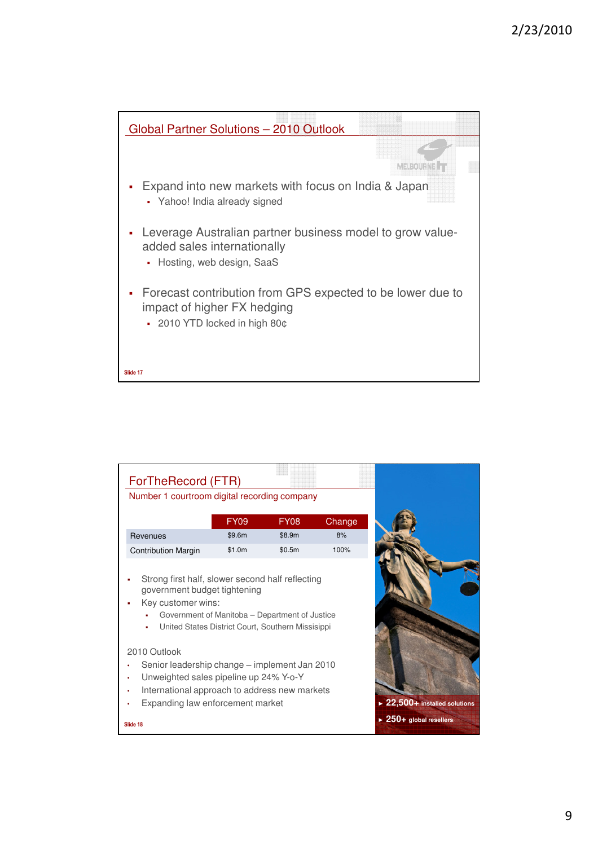

| ForTheRecord (FTR)                                            |                                                                                                     |             |        |                                              |
|---------------------------------------------------------------|-----------------------------------------------------------------------------------------------------|-------------|--------|----------------------------------------------|
| Number 1 courtroom digital recording company                  |                                                                                                     |             |        |                                              |
|                                                               | <b>FY09</b>                                                                                         | <b>FY08</b> | Change |                                              |
| Revenues                                                      | \$9.6m                                                                                              | \$8.9m      | 8%     |                                              |
| <b>Contribution Margin</b>                                    | \$1.0m                                                                                              | \$0.5m      | 100%   |                                              |
| government budget tightening<br>Key customer wins:<br>٠       | Government of Manitoba – Department of Justice<br>United States District Court, Southern Missisippi |             |        |                                              |
| 2010 Outlook<br>Senior leadership change – implement Jan 2010 |                                                                                                     |             |        |                                              |
| Unweighted sales pipeline up 24% Y-o-Y                        |                                                                                                     |             |        |                                              |
| International approach to address new markets                 |                                                                                                     |             |        |                                              |
| Expanding law enforcement market                              |                                                                                                     |             |        | $\triangleright$ 22,500+ installed solutions |
| Slide 18                                                      |                                                                                                     |             |        | $\triangleright$ 250+ global resellers       |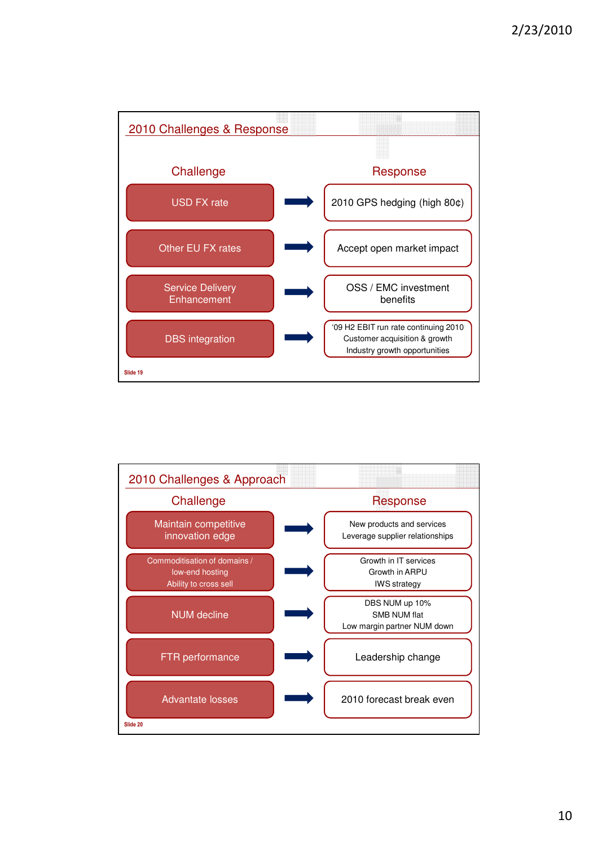

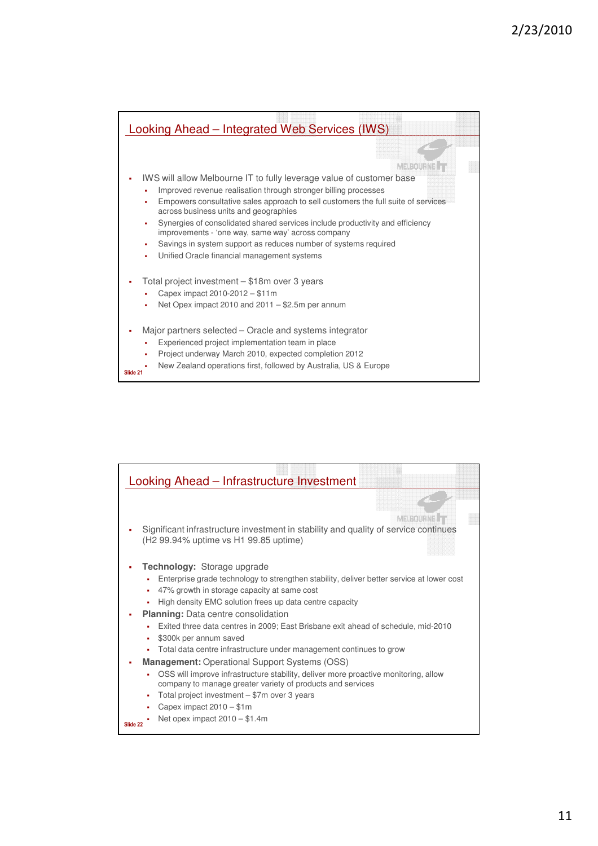

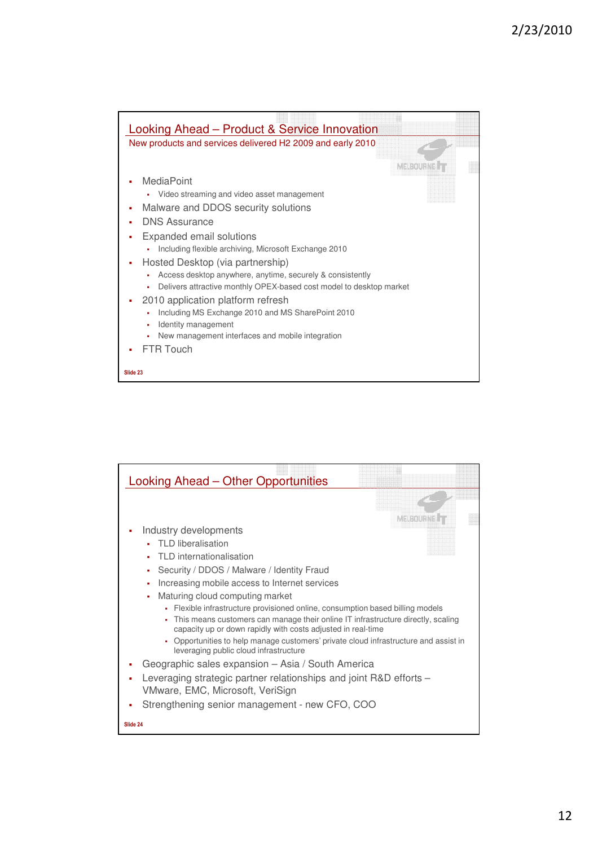

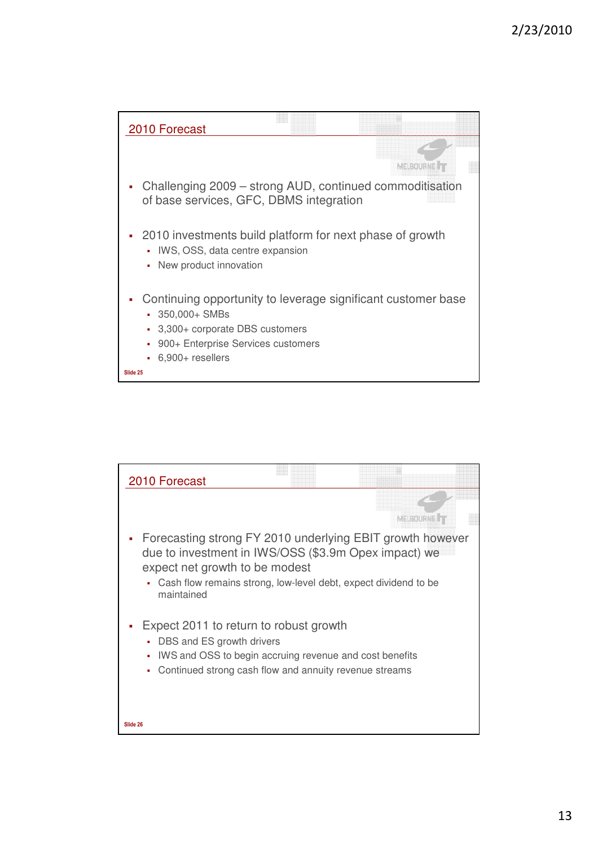

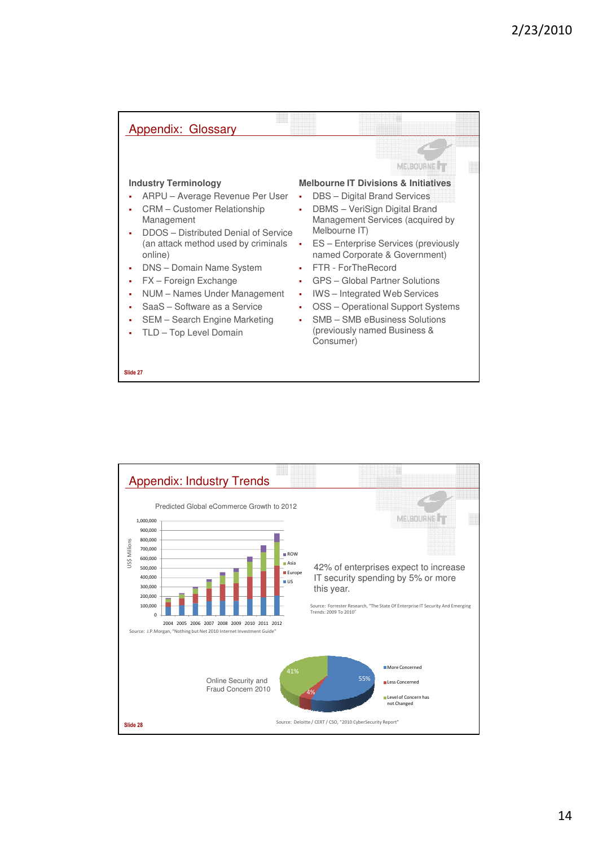| Appendix: Glossary                                                                                                                                                                                                                                                                                                                                                                    |                                                                                                                                                                                                                                                                                                                                                                                                                                                                                                                                          |
|---------------------------------------------------------------------------------------------------------------------------------------------------------------------------------------------------------------------------------------------------------------------------------------------------------------------------------------------------------------------------------------|------------------------------------------------------------------------------------------------------------------------------------------------------------------------------------------------------------------------------------------------------------------------------------------------------------------------------------------------------------------------------------------------------------------------------------------------------------------------------------------------------------------------------------------|
| <b>Industry Terminology</b><br>ARPU – Average Revenue Per User<br>CRM – Customer Relationship<br>Management<br>DDOS - Distributed Denial of Service<br>(an attack method used by criminals<br>online)<br>DNS - Domain Name System<br>FX - Foreign Exchange<br>NUM – Names Under Management<br>SaaS - Software as a Service<br>SEM - Search Engine Marketing<br>TLD - Top Level Domain | MELBOURNE <sup>T</sup><br><b>Melbourne IT Divisions &amp; Initiatives</b><br>DBS - Digital Brand Services<br>٠<br>DBMS - VeriSign Digital Brand<br>ä,<br>Management Services (acquired by<br>Melbourne IT)<br>ES – Enterprise Services (previously<br>named Corporate & Government)<br>FTR - ForTheRecord<br>п.<br>GPS - Global Partner Solutions<br>$\blacksquare$<br><b>IWS</b> – Integrated Web Services<br>×<br>OSS - Operational Support Systems<br>×<br>SMB - SMB eBusiness Solutions<br>(previously named Business &<br>Consumer) |
| Slide 27                                                                                                                                                                                                                                                                                                                                                                              |                                                                                                                                                                                                                                                                                                                                                                                                                                                                                                                                          |